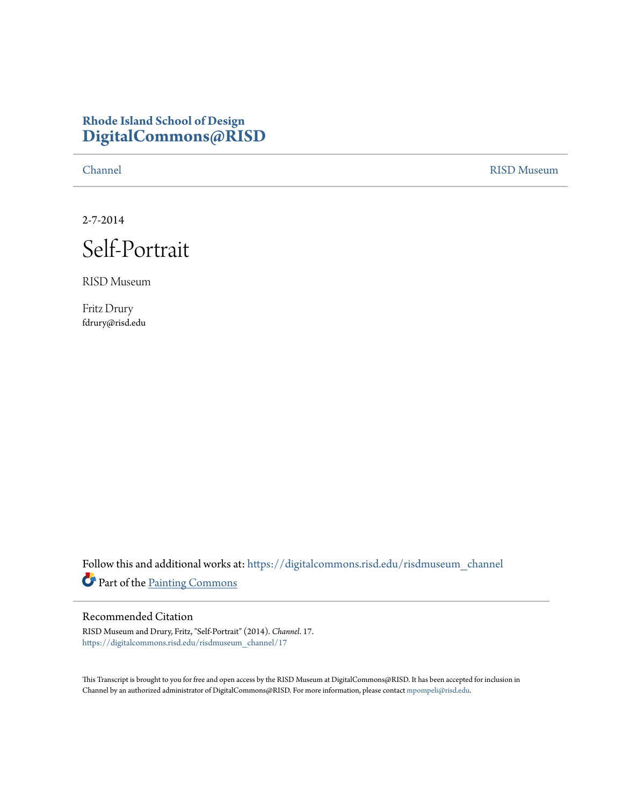## **Rhode Island School of Design [DigitalCommons@RISD](https://digitalcommons.risd.edu?utm_source=digitalcommons.risd.edu%2Frisdmuseum_channel%2F17&utm_medium=PDF&utm_campaign=PDFCoverPages)**

[Channel](https://digitalcommons.risd.edu/risdmuseum_channel?utm_source=digitalcommons.risd.edu%2Frisdmuseum_channel%2F17&utm_medium=PDF&utm_campaign=PDFCoverPages) [RISD Museum](https://digitalcommons.risd.edu/risdmuseum?utm_source=digitalcommons.risd.edu%2Frisdmuseum_channel%2F17&utm_medium=PDF&utm_campaign=PDFCoverPages)

2-7-2014



RISD Museum

Fritz Drury fdrury@risd.edu

Follow this and additional works at: [https://digitalcommons.risd.edu/risdmuseum\\_channel](https://digitalcommons.risd.edu/risdmuseum_channel?utm_source=digitalcommons.risd.edu%2Frisdmuseum_channel%2F17&utm_medium=PDF&utm_campaign=PDFCoverPages) Part of the [Painting Commons](http://network.bepress.com/hgg/discipline/1339?utm_source=digitalcommons.risd.edu%2Frisdmuseum_channel%2F17&utm_medium=PDF&utm_campaign=PDFCoverPages)

## Recommended Citation

RISD Museum and Drury, Fritz, "Self-Portrait" (2014). *Channel*. 17. [https://digitalcommons.risd.edu/risdmuseum\\_channel/17](https://digitalcommons.risd.edu/risdmuseum_channel/17?utm_source=digitalcommons.risd.edu%2Frisdmuseum_channel%2F17&utm_medium=PDF&utm_campaign=PDFCoverPages)

This Transcript is brought to you for free and open access by the RISD Museum at DigitalCommons@RISD. It has been accepted for inclusion in Channel by an authorized administrator of DigitalCommons@RISD. For more information, please contact [mpompeli@risd.edu.](mailto:mpompeli@risd.edu)